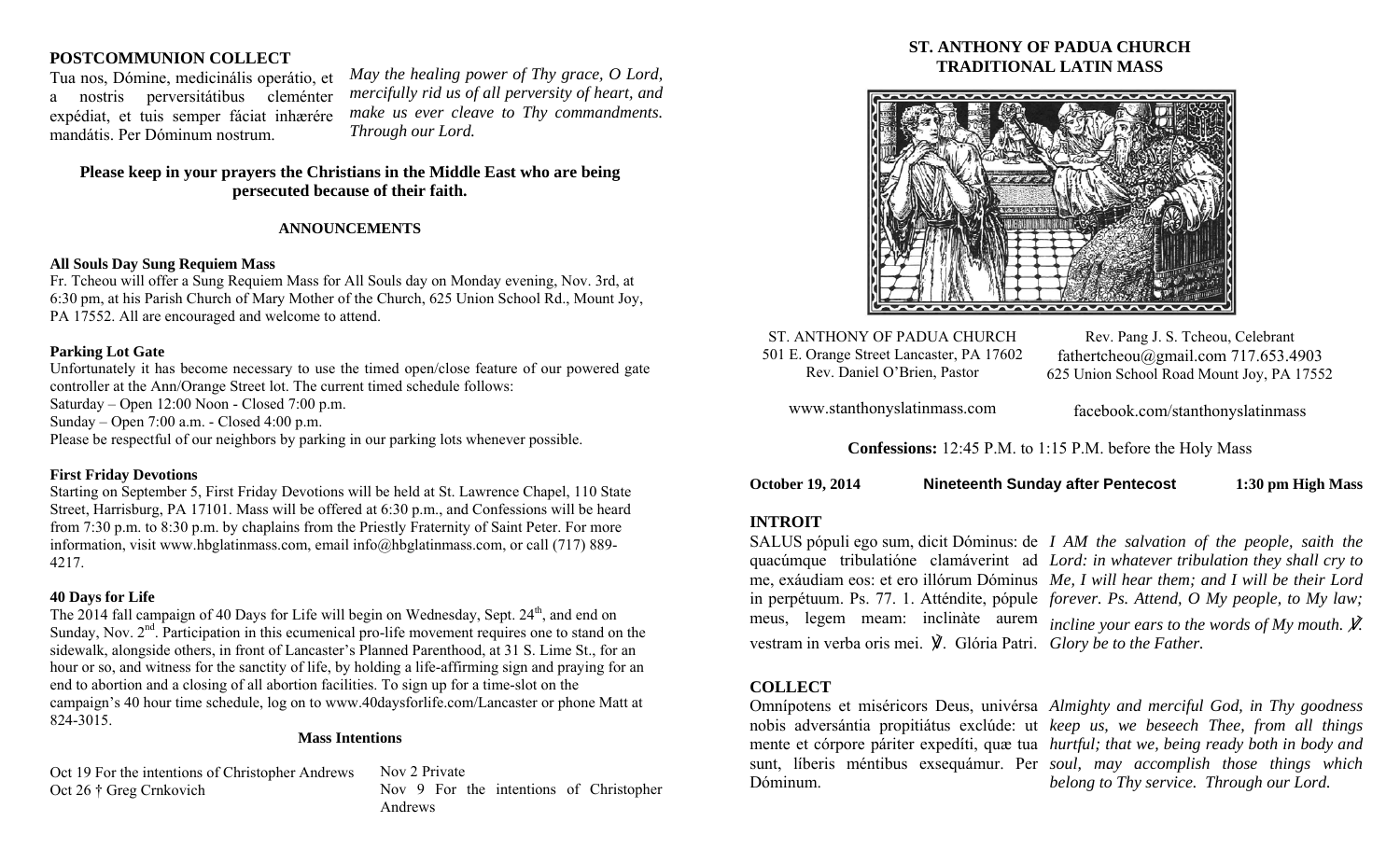## **POSTCOMMUNION COLLECT**

Tua nos, Dómine, medicinális operátio, et a nostris perversitátibus cleménter expédiat, et tuis semper fáciat inhærére mandátis. Per Dóminum nostrum.

*May the healing power of Thy grace, O Lord, mercifully rid us of all perversity of heart, and make us ever cleave to Thy commandments. Through our Lord.* 

# **Please keep in your prayers the Christians in the Middle East who are being persecuted because of their faith.**

# **ANNOUNCEMENTS**

## **All Souls Day Sung Requiem Mass**

Fr. Tcheou will offer a Sung Requiem Mass for All Souls day on Monday evening, Nov. 3rd, at 6:30 pm, at his Parish Church of Mary Mother of the Church, 625 Union School Rd., Mount Joy, PA 17552. All are encouraged and welcome to attend.

## **Parking Lot Gate**

Unfortunately it has become necessary to use the timed open/close feature of our powered gate controller at the Ann/Orange Street lot. The current timed schedule follows: Saturday – Open 12:00 Noon - Closed 7:00 p.m. Sunday – Open 7:00 a.m. - Closed 4:00 p.m.

Please be respectful of our neighbors by parking in our parking lots whenever possible.

# **First Friday Devotions**

Starting on September 5, First Friday Devotions will be held at St. Lawrence Chapel, 110 State Street, Harrisburg, PA 17101. Mass will be offered at 6:30 p.m., and Confessions will be heard from 7:30 p.m. to 8:30 p.m. by chaplains from the Priestly Fraternity of Saint Peter. For more information, visit www.hbglatinmass.com, email info@hbglatinmass.com, or call (717) 889- 4217.

# **40 Days for Life**

The 2014 fall campaign of 40 Days for Life will begin on Wednesday, Sept.  $24<sup>th</sup>$ , and end on Sunday, Nov. 2<sup>nd</sup>. Participation in this ecumenical pro-life movement requires one to stand on the sidewalk, alongside others, in front of Lancaster's Planned Parenthood, at 31 S. Lime St., for an hour or so, and witness for the sanctity of life, by holding a life-affirming sign and praying for an end to abortion and a closing of all abortion facilities. To sign up for a time-slot on the campaign's 40 hour time schedule, log on to www.40daysforlife.com/Lancaster or phone Matt at 824-3015.

## **Mass Intentions**

Oct 19 For the intentions of Christopher Andrews Oct 26 † Greg Crnkovich

Nov 2 Private Nov 9 For the intentions of Christopher Andrews

# **ST. ANTHONY OF PADUA CHURCH TRADITIONAL LATIN MASS**



ST. ANTHONY OF PADUA CHURCH 501 E. Orange Street Lancaster, PA 17602 Rev. Daniel O'Brien, Pastor

Rev. Pang J. S. Tcheou, Celebrant fathertcheou@gmail.com 717.653.4903 625 Union School Road Mount Joy, PA 17552

www.stanthonyslatinmass.com

facebook.com/stanthonyslatinmass

**Confessions:** 12:45 P.M. to 1:15 P.M. before the Holy Mass

| <b>October 19, 2014</b> | <b>Nineteenth Sunday after Pentecost</b> | 1:30 pm High Mass |
|-------------------------|------------------------------------------|-------------------|
|-------------------------|------------------------------------------|-------------------|

## **INTROIT**

vestram in verba oris mei. ℣. Glória Patri. *Glory be to the Father.* 

SALUS pópuli ego sum, dicit Dóminus: de *I AM the salvation of the people, saith the*  quacúmque tribulatióne clamáverint ad *Lord: in whatever tribulation they shall cry to*  me, exáudiam eos: et ero illórum Dóminus *Me, I will hear them; and I will be their Lord*  in perpétuum. Ps. 77. 1. Atténdite, pópule *forever. Ps. Attend, O My people, to My law;*  meus, legem meam: inclinàte aurem *incline your ears to the words of My mouth. V*.

## **COLLECT**

Dóminum.

Omnípotens et miséricors Deus, univérsa *Almighty and merciful God, in Thy goodness*  nobis adversántia propitiátus exclúde: ut *keep us, we beseech Thee, from all things*  mente et córpore páriter expedíti, quæ tua *hurtful; that we, being ready both in body and*  sunt, líberis méntibus exsequámur. Per *soul, may accomplish those things which belong to Thy service. Through our Lord.*